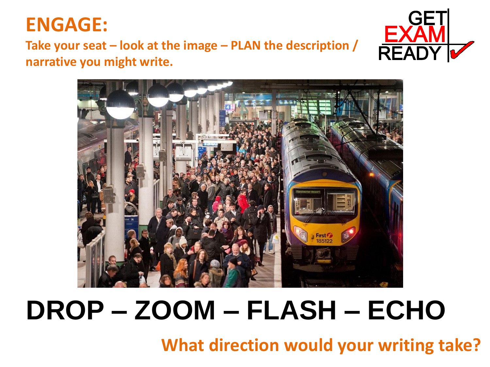#### **ENGAGE:**

#### **Take your seat – look at the image – PLAN the description / narrative you might write.**





# **DROP – ZOOM – FLASH – ECHO**

**What direction would your writing take?**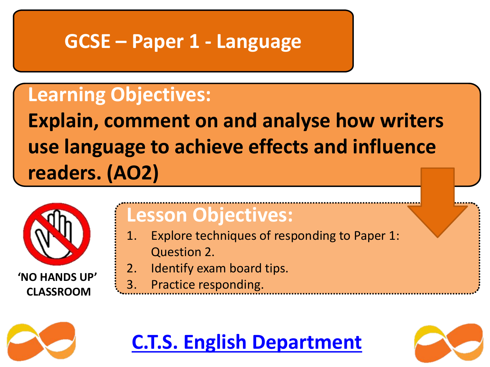#### **GCSE – Paper 1 - Language**

### **Learning Objectives:**

**Explain, comment on and analyse how writers use language to achieve effects and influence readers. (AO2)**



#### **Lesson Objectives:**

- 1. Explore techniques of responding to Paper 1: Question 2.
- 2. Identify exam board tips.
- 3. Practice responding. **'NO HANDS UP'**



# **C.T.S. English Department**

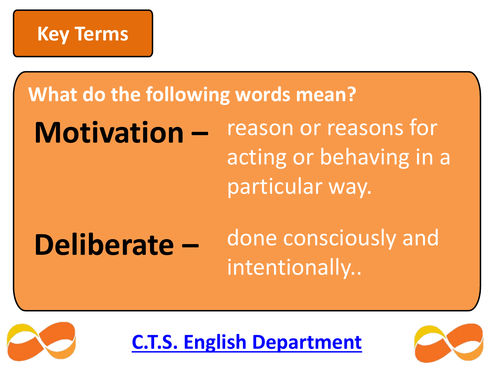

**What do the following words mean?**

**Motivation –** reason or reasons for acting or behaving in a particular way.

# **Deliberate –**

done consciously and intentionally..



**C.T.S. English Department**

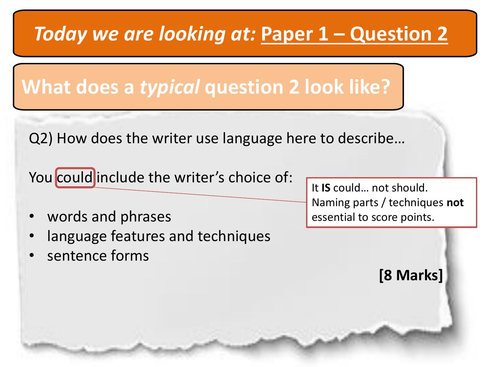# *Today we are looking at:* **Paper 1 – Question 2**

**What does a** *typical* **question 2 look like?**

Q2) How does the writer use language here to describe…

You could include the writer's choice of:

- words and phrases
- language features and techniques
- sentence forms

It **IS** could… not should. Naming parts / techniques **not** essential to score points.

**[8 Marks]**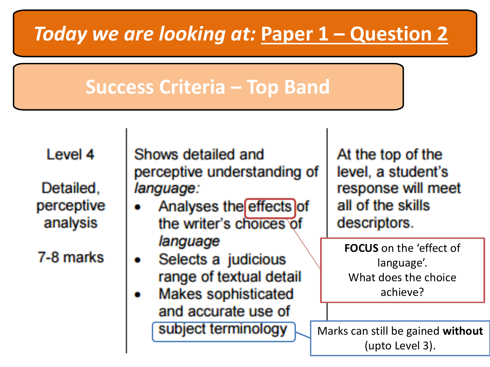# *Today we are looking at:* **Paper 1 – Question 2**

### **Success Criteria – Top Band**

Level 4

Detailed, perceptive analysis

7-8 marks

Shows detailed and perceptive understanding of language:

- Analyses the effects of the writer's choices of language
- Selects a judicious range of textual detail
- **Makes sophisticated** and accurate use of subject terminology

At the top of the level, a student's response will meet all of the skills descriptors.

**FOCUS** on the 'effect of language'. What does the choice achieve?

Marks can still be gained **without** (upto Level 3).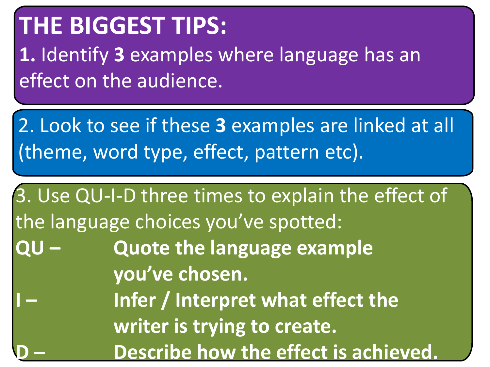# **THE BIGGEST TIPS:**

**1.** Identify **3** examples where language has an effect on the audience.

2. Look to see if these **3** examples are linked at all (theme, word type, effect, pattern etc).

3. Use QU-I-D three times to explain the effect of the language choices you've spotted: **QU – Quote the language example you've chosen. Infer / Interpret what effect the writer is trying to create. Describe how the effect is achieved.**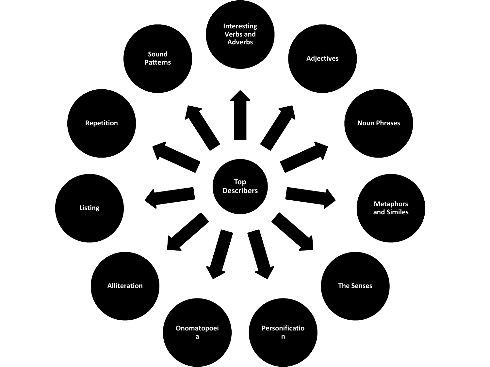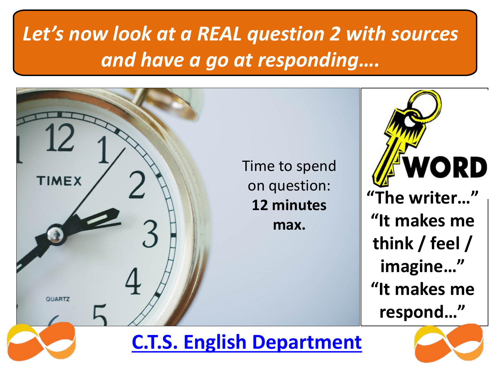# *Let's now look at a REAL question 2 with sources and have a go at responding….*



#### **C.T.S. English Department**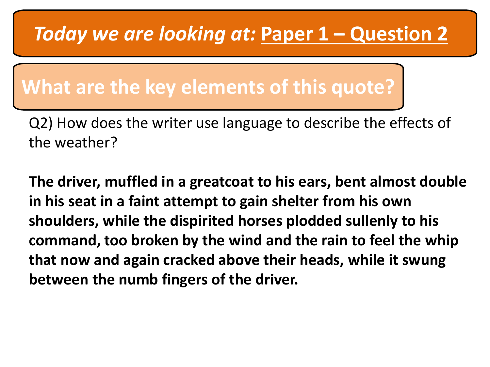## *Today we are looking at:* **Paper 1 – Question 2**

#### **What are the key elements of this quote?**

Q2) How does the writer use language to describe the effects of the weather?

**The driver, muffled in a greatcoat to his ears, bent almost double in his seat in a faint attempt to gain shelter from his own shoulders, while the dispirited horses plodded sullenly to his command, too broken by the wind and the rain to feel the whip that now and again cracked above their heads, while it swung between the numb fingers of the driver.**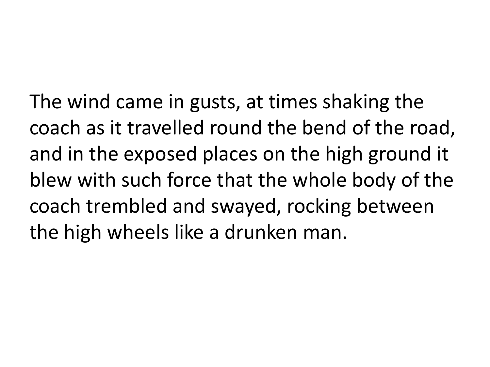The wind came in gusts, at times shaking the coach as it travelled round the bend of the road, and in the exposed places on the high ground it blew with such force that the whole body of the coach trembled and swayed, rocking between the high wheels like a drunken man.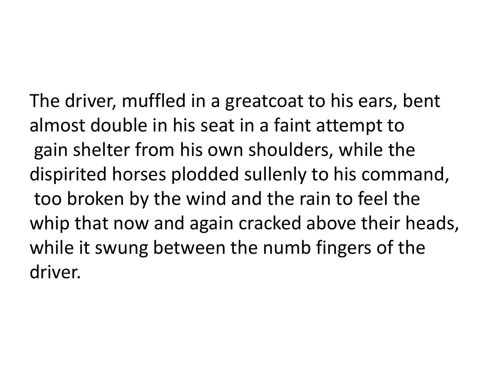The driver, muffled in a greatcoat to his ears, bent almost double in his seat in a faint attempt to gain shelter from his own shoulders, while the dispirited horses plodded sullenly to his command, too broken by the wind and the rain to feel the whip that now and again cracked above their heads, while it swung between the numb fingers of the driver.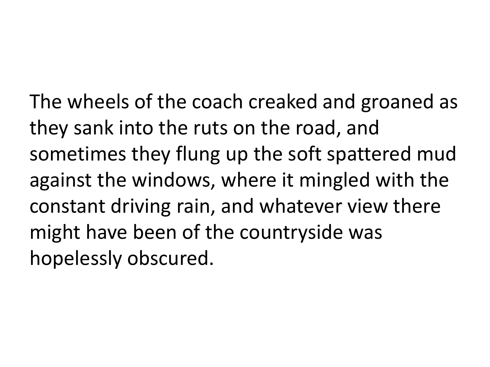The wheels of the coach creaked and groaned as they sank into the ruts on the road, and sometimes they flung up the soft spattered mud against the windows, where it mingled with the constant driving rain, and whatever view there might have been of the countryside was hopelessly obscured.